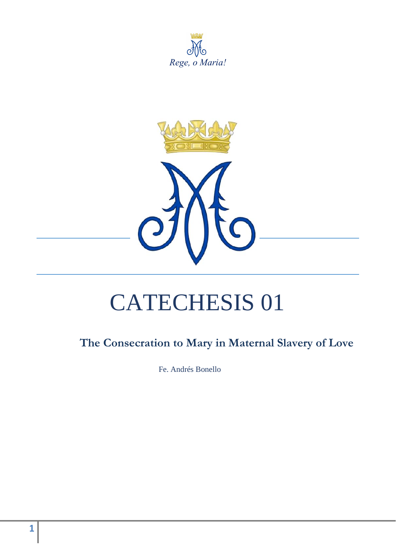





# CATECHESIS 01

# **The Consecration to Mary in Maternal Slavery of Love**

Fe. Andrés Bonello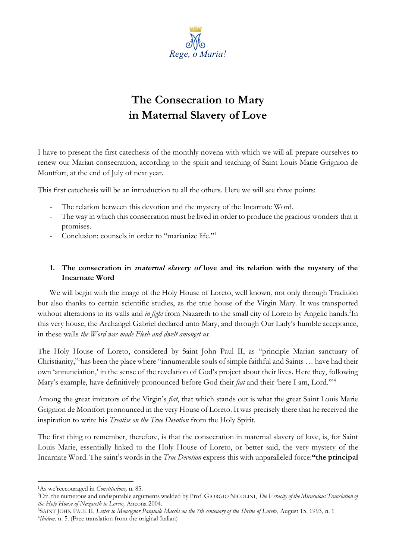

# **The Consecration to Mary in Maternal Slavery of Love**

I have to present the first catechesis of the monthly novena with which we will all prepare ourselves to renew our Marian consecration, according to the spirit and teaching of Saint Louis Marie Grignion de Montfort, at the end of July of next year.

This first catechesis will be an introduction to all the others. Here we will see three points:

- The relation between this devotion and the mystery of the Incarnate Word.
- The way in which this consecration must be lived in order to produce the gracious wonders that it promises.
- Conclusion: counsels in order to "marianize life."<sup>1</sup>

# **1. The consecration in maternal slavery of love and its relation with the mystery of the Incarnate Word**

We will begin with the image of the Holy House of Loreto, well known, not only through Tradition but also thanks to certain scientific studies, as the true house of the Virgin Mary. It was transported without alterations to its walls and *in fight* from Nazareth to the small city of Loreto by Angelic hands.<sup>2</sup>In this very house, the Archangel Gabriel declared unto Mary, and through Our Lady's humble acceptance, in these walls *the Word was made Flesh and dwelt amongst us.*

The Holy House of Loreto, considered by Saint John Paul II, as "principle Marian sanctuary of Christianity,"<sup>3</sup>has been the place where "innumerable souls of simple faithful and Saints … have had their own 'annunciation,' in the sense of the revelation of God's project about their lives. Here they, following Mary's example, have definitively pronounced before God their *fiat* and their 'here I am, Lord.'"<sup>4</sup>

Among the great imitators of the Virgin's *fiat*, that which stands out is what the great Saint Louis Marie Grignion de Montfort pronounced in the very House of Loreto. It was precisely there that he received the inspiration to write his *Treatise on the True Devotion* from the Holy Spirit.

The first thing to remember, therefore, is that the consecration in maternal slavery of love, is, for Saint Louis Marie, essentially linked to the Holy House of Loreto, or better said, the very mystery of the Incarnate Word. The saint's words in the *True Devotion* express this with unparalleled force:**"the principal** 

<sup>1</sup>As we'reecouraged in *Constitutions,* n. 85.

<sup>2</sup>Cfr. the numerous and undisputable arguments wielded by Prof. GIORGIO NICOLINI, *The Veracity of the Miraculous Translation of the Holy House of Nazareth to Loreto,* Ancona 2004.

<sup>3</sup>SAINT JOHN PAUL II, *Letter to Monsignor Pasquale Macchi on the 7th centenary of the Shrine of Loreto*, August 15, 1993, n. 1 4 *Ibidem*. n. 5. (Free translation from the original Italian)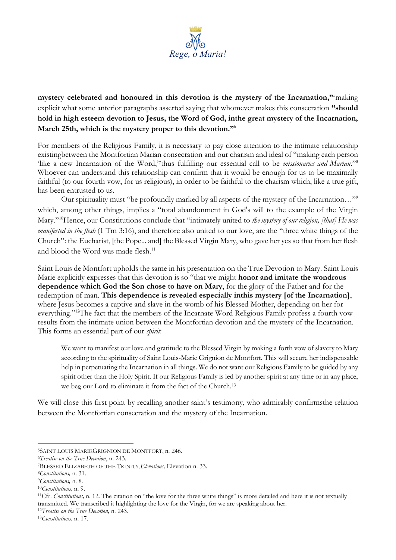

**mystery celebrated and honoured in this devotion is the mystery of the Incarnation,"**<sup>5</sup>making explicit what some anterior paragraphs asserted saying that whomever makes this consecration **"should hold in high esteem devotion to Jesus, the Word of God, inthe great mystery of the Incarnation, March 25th, which is the mystery proper to this devotion."**<sup>6</sup>

For members of the Religious Family, it is necessary to pay close attention to the intimate relationship existingbetween the Montfortian Marian consecration and our charism and ideal of "making each person 'like a new Incarnation of the Word,'7thus fulfilling our essential call to be *missionaries and Marian*."<sup>8</sup> Whoever can understand this relationship can confirm that it would be enough for us to be maximally faithful (to our fourth vow, for us religious), in order to be faithful to the charism which, like a true gift, has been entrusted to us.

Our spirituality must "be profoundly marked by all aspects of the mystery of the Incarnation…"<sup>9</sup> which, among other things, implies a "total abandonment in God's will to the example of the Virgin Mary."<sup>10</sup>Hence, our Constitutions conclude that "intimately united to *the mystery of our religion, [that] He was manifested in the flesh* (1 Tm 3:16), and therefore also united to our love, are the "three white things of the Church": the Eucharist, [the Pope... and] the Blessed Virgin Mary, who gave her yes so that from her flesh and blood the Word was made flesh.<sup>11</sup>

Saint Louis de Montfort upholds the same in his presentation on the True Devotion to Mary. Saint Louis Marie explicitly expresses that this devotion is so "that we might **honor and imitate the wondrous dependence which God the Son chose to have on Mary**, for the glory of the Father and for the redemption of man. **This dependence is revealed especially inthis mystery [of the Incarnation]**, where Jesus becomes a captive and slave in the womb of his Blessed Mother, depending on her for everything."<sup>12</sup>The fact that the members of the Incarnate Word Religious Family profess a fourth vow results from the intimate union between the Montfortian devotion and the mystery of the Incarnation. This forms an essential part of our *spirit*:

We want to manifest our love and gratitude to the Blessed Virgin by making a forth vow of slavery to Mary according to the spirituality of Saint Louis-Marie Grignion de Montfort. This will secure her indispensable help in perpetuating the Incarnation in all things. We do not want our Religious Family to be guided by any spirit other than the Holy Spirit. If our Religious Family is led by another spirit at any time or in any place, we beg our Lord to eliminate it from the fact of the Church.<sup>13</sup>

We will close this first point by recalling another saint's testimony, who admirably confirmsthe relation between the Montfortian consecration and the mystery of the Incarnation.

<sup>6</sup>*Treatise on the True Devotion*, n. 243.

<sup>5</sup>SAINT LOUIS MARIEGRIGNION DE MONTFORT, n. 246.

<sup>7</sup>BLESSED ELIZABETH OF THE TRINITY,*Elevations,* Elevation n. 33.

<sup>8</sup>*Constitutions,* n. 31.

<sup>9</sup>*Constitutions,* n. 8.

<sup>10</sup>*Constitutions,* n. 9.

<sup>&</sup>lt;sup>11</sup>Cfr. *Constitutions*, n. 12. The citation on "the love for the three white things" is more detailed and here it is not textually transmitted. We transcribed it highlighting the love for the Virgin, for we are speaking about her.

<sup>12</sup>*Treatise on the True Devotion,* n. 243.

<sup>13</sup>*Constitutions,* n. 17.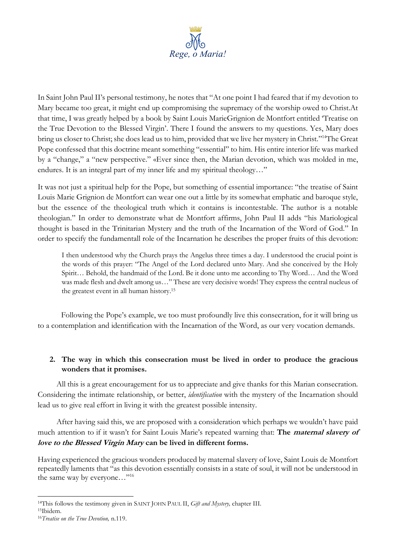

In Saint John Paul II's personal testimony, he notes that "At one point I had feared that if my devotion to Mary became too great, it might end up compromising the supremacy of the worship owed to Christ.At that time, I was greatly helped by a book by Saint Louis MarieGrignion de Montfort entitled 'Treatise on the True Devotion to the Blessed Virgin'. There I found the answers to my questions. Yes, Mary does bring us closer to Christ; she does lead us to him, provided that we live her mystery in Christ."<sup>14</sup>The Great Pope confessed that this doctrine meant something "essential" to him. His entire interior life was marked by a "change," a "new perspective." «Ever since then, the Marian devotion, which was molded in me, endures. It is an integral part of my inner life and my spiritual theology..."

It was not just a spiritual help for the Pope, but something of essential importance: "the treatise of Saint Louis Marie Grignion de Montfort can wear one out a little by its somewhat emphatic and baroque style, but the essence of the theological truth which it contains is incontestable. The author is a notable theologian." In order to demonstrate what de Montfort affirms, John Paul II adds "his Mariological thought is based in the Trinitarian Mystery and the truth of the Incarnation of the Word of God." In order to specify the fundamentall role of the Incarnation he describes the proper fruits of this devotion:

I then understood why the Church prays the Angelus three times a day. I understood the crucial point is the words of this prayer: "The Angel of the Lord declared unto Mary. And she conceived by the Holy Spirit… Behold, the handmaid of the Lord. Be it done unto me according to Thy Word… And the Word was made flesh and dwelt among us…" These are very decisive words! They express the central nucleus of the greatest event in all human history.<sup>15</sup>

Following the Pope's example, we too must profoundly live this consecration, for it will bring us to a contemplation and identification with the Incarnation of the Word, as our very vocation demands.

## **2. The way in which this consecration must be lived in order to produce the gracious wonders that it promises.**

All this is a great encouragement for us to appreciate and give thanks for this Marian consecration. Considering the intimate relationship, or better, *identification* with the mystery of the Incarnation should lead us to give real effort in living it with the greatest possible intensity.

After having said this, we are proposed with a consideration which perhaps we wouldn't have paid much attention to if it wasn't for Saint Louis Marie's repeated warning that: **The maternal slavery of love to the Blessed Virgin Mary can be lived in different forms.**

Having experienced the gracious wonders produced by maternal slavery of love, Saint Louis de Montfort repeatedly laments that "as this devotion essentially consists in a state of soul, it will not be understood in the same way by everyone..."<sup>16</sup>

<sup>14</sup>This follows the testimony given in SAINT JOHN PAUL II, *Gift and Mystery,* chapter III.

<sup>15</sup>Ibidem.

<sup>16</sup>*Treatise on the True Devotion,* n.119.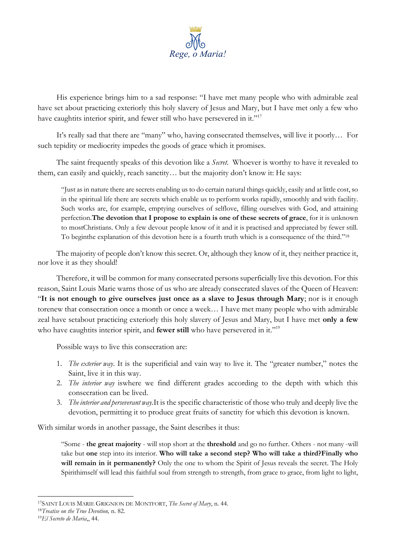

His experience brings him to a sad response: "I have met many people who with admirable zeal have set about practicing exteriorly this holy slavery of Jesus and Mary, but I have met only a few who have caughtits interior spirit, and fewer still who have persevered in it."<sup>17</sup>

It's really sad that there are "many" who, having consecrated themselves, will live it poorly… For such tepidity or mediocrity impedes the goods of grace which it promises.

The saint frequently speaks of this devotion like a *Secret*. Whoever is worthy to have it revealed to them, can easily and quickly, reach sanctity… but the majority don't know it: He says:

"Just as in nature there are secrets enabling us to do certain natural things quickly, easily and at little cost, so in the spiritual life there are secrets which enable us to perform works rapidly, smoothly and with facility. Such works are, for example, emptying ourselves of selflove, filling ourselves with God, and attaining perfection.**The devotion that I propose to explain is one of these secrets of grace**, for it is unknown to mostChristians. Only a few devout people know of it and it is practised and appreciated by fewer still. To beginthe explanation of this devotion here is a fourth truth which is a consequence of the third." 18

The majority of people don't know this secret. Or, although they know of it, they neither practice it, nor love it as they should!

Therefore, it will be common for many consecrated persons superficially live this devotion. For this reason, Saint Louis Marie warns those of us who are already consecrated slaves of the Queen of Heaven: "**It is not enough to give ourselves just once as a slave to Jesus through Mary**; nor is it enough torenew that consecration once a month or once a week… I have met many people who with admirable zeal have setabout practicing exteriorly this holy slavery of Jesus and Mary, but I have met **only a few** who have caughtits interior spirit, and **fewer still** who have persevered in it."<sup>19</sup>

Possible ways to live this consecration are:

- 1. *The exterior way*. It is the superificial and vain way to live it. The "greater number," notes the Saint, live it in this way.
- 2. *The interior way* iswhere we find different grades according to the depth with which this consecration can be lived.
- 3. *The interior and perseverant way.*It is the specific characteristic of those who truly and deeply live the devotion, permitting it to produce great fruits of sanctity for which this devotion is known.

With similar words in another passage, the Saint describes it thus:

"Some - **the great majority** - will stop short at the **threshold** and go no further. Others - not many -will take but **one** step into its interior. **Who will take a second step? Who will take a third?Finally who will remain in it permanently?** Only the one to whom the Spirit of Jesus reveals the secret. The Holy Spirithimself will lead this faithful soul from strength to strength, from grace to grace, from light to light,

<sup>17</sup>SAINT LOUIS MARIE GRIGNION DE MONTFORT, *The Secret of Mary*, n. 44.

<sup>18</sup>*Treatise on the True Devotion,* n. 82.

<sup>19</sup>*El Secreto de Maria*,, 44.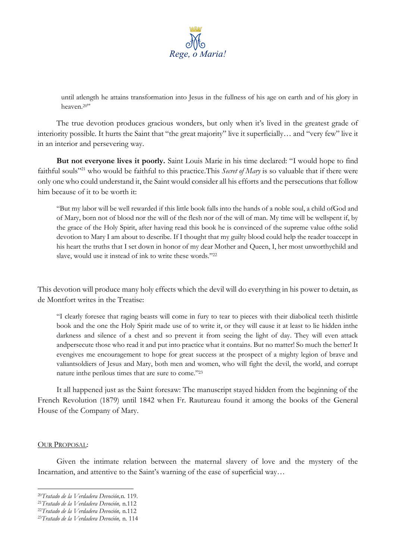

until atlength he attains transformation into Jesus in the fullness of his age on earth and of his glory in heaven.<sup>20"</sup>

The true devotion produces gracious wonders, but only when it's lived in the greatest grade of interiority possible. It hurts the Saint that "the great majority" live it superficially… and "very few" live it in an interior and persevering way.

**But not everyone lives it poorly.** Saint Louis Marie in his time declared: "I would hope to find faithful souls"<sup>21</sup> who would be faithful to this practice. This *Secret of Mary* is so valuable that if there were only one who could understand it, the Saint would consider all his efforts and the persecutions that follow him because of it to be worth it:

"But my labor will be well rewarded if this little book falls into the hands of a noble soul, a child ofGod and of Mary, born not of blood nor the will of the flesh nor of the will of man. My time will be wellspent if, by the grace of the Holy Spirit, after having read this book he is convinced of the supreme value ofthe solid devotion to Mary I am about to describe. If I thought that my guilty blood could help the reader toaccept in his heart the truths that I set down in honor of my dear Mother and Queen, I, her most unworthychild and slave, would use it instead of ink to write these words." 22

This devotion will produce many holy effects which the devil will do everything in his power to detain, as de Montfort writes in the Treatise:

"I clearly foresee that raging beasts will come in fury to tear to pieces with their diabolical teeth thislittle book and the one the Holy Spirit made use of to write it, or they will cause it at least to lie hidden inthe darkness and silence of a chest and so prevent it from seeing the light of day. They will even attack andpersecute those who read it and put into practice what it contains. But no matter! So much the better! It evengives me encouragement to hope for great success at the prospect of a mighty legion of brave and valiantsoldiers of Jesus and Mary, both men and women, who will fight the devil, the world, and corrupt nature inthe perilous times that are sure to come." 23

It all happened just as the Saint foresaw: The manuscript stayed hidden from the beginning of the French Revolution (1879) until 1842 when Fr. Rautureau found it among the books of the General House of the Company of Mary.

#### OUR PROPOSAL:

Given the intimate relation between the maternal slavery of love and the mystery of the Incarnation, and attentive to the Saint's warning of the ease of superficial way...

<sup>20</sup>*Tratado de la Verdadera Devoción,*n. 119.

<sup>21</sup>*Tratado de la Verdadera Devoción,* n.112

<sup>22</sup>*Tratado de la Verdadera Devoción,* n.112

<sup>23</sup>*Tratado de la Verdadera Devoción,* n. 114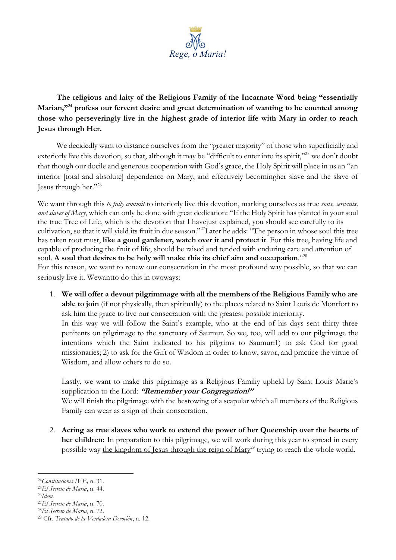

**The religious and laity of the Religious Family of the Incarnate Word being "essentially Marian,"<sup>24</sup> profess our fervent desire and great determination of wanting to be counted among those who perseveringly live in the highest grade of interior life with Mary in order to reach Jesus through Her.**

We decidedly want to distance ourselves from the "greater majority" of those who superficially and exteriorly live this devotion, so that, although it may be "difficult to enter into its spirit,"<sup>25</sup> we don't doubt that though our docile and generous cooperation with God's grace, the Holy Spirit will place in us an "an interior [total and absolute] dependence on Mary, and effectively becomingher slave and the slave of Jesus through her."<sup>26</sup>

We want through this *to fully commit* to interiorly live this devotion, marking ourselves as true *sons, servants, and slaves of Mary*, which can only be done with great dedication: "If the Holy Spirit has planted in your soul the true Tree of Life, which is the devotion that I havejust explained, you should see carefully to its cultivation, so that it will yield its fruit in due season."<sup>27</sup>Later he adds: "The person in whose soul this tree has taken root must, **like a good gardener, watch over it and protect it**. For this tree, having life and capable of producing the fruit of life, should be raised and tended with enduring care and attention of soul. **A soul that desires to be holy will make this its chief aim and occupation**."<sup>28</sup>

For this reason, we want to renew our consecration in the most profound way possible, so that we can seriously live it. Wewantto do this in twoways:

1. **We will offer a devout pilgrimmage with all the members of the Religious Family who are able to join** (if not physically, then spiritually) to the places related to Saint Louis de Montfort to ask him the grace to live our consecration with the greatest possible interiority. In this way we will follow the Saint's example, who at the end of his days sent thirty three penitents on pilgrimage to the sanctuary of Saumur. So we, too, will add to our pilgrimage the intentions which the Saint indicated to his pilgrims to Saumur:1) to ask God for good missionaries; 2) to ask for the Gift of Wisdom in order to know, savor, and practice the virtue of Wisdom, and allow others to do so.

Lastly, we want to make this pilgrimage as a Religious Familiy upheld by Saint Louis Marie's supplication to the Lord: **"Remember your Congregation!"** We will finish the pilgrimage with the bestowing of a scapular which all members of the Religious Family can wear as a sign of their consecration.

2. **Acting as true slaves who work to extend the power of her Queenship over the hearts of her children:** In preparation to this pilgrimage, we will work during this year to spread in every possible way the kingdom of Jesus through the reign of Mary<sup>29</sup> trying to reach the whole world.

- <sup>25</sup>*El Secreto de Maria*, n. 44.
- <sup>26</sup>*Idem.*

<sup>24</sup>*Constituciones IVE,* n. 31.

<sup>27</sup>*El Secreto de Maria*, n. 70.

<sup>28</sup>*El Secreto de Maria*, n. 72.

<sup>29</sup> Cfr. *Tratado de la Verdadera Devoción*, n. 12.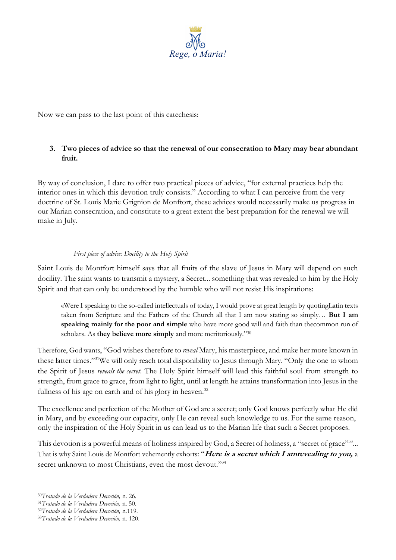

Now we can pass to the last point of this catechesis:

# **3. Two pieces of advice so that the renewal of our consecration to Mary may bear abundant fruit.**

By way of conclusion, I dare to offer two practical pieces of advice, "for external practices help the interior ones in which this devotion truly consists." According to what I can perceive from the very doctrine of St. Louis Marie Grignion de Monftort, these advices would necessarily make us progress in our Marian consecration, and constitute to a great extent the best preparation for the renewal we will make in July.

### *First piece of advice: Docility to the Holy Spirit*

Saint Louis de Montfort himself says that all fruits of the slave of Jesus in Mary will depend on such docility. The saint wants to transmit a mystery, a Secret... something that was revealed to him by the Holy Spirit and that can only be understood by the humble who will not resist His inspirations:

«Were I speaking to the so-called intellectuals of today, I would prove at great length by quotingLatin texts taken from Scripture and the Fathers of the Church all that I am now stating so simply… **But I am speaking mainly for the poor and simple** who have more good will and faith than thecommon run of scholars. As **they believe more simply** and more meritoriously."<sup>30</sup>

Therefore, God wants, "God wishes therefore to *reveal* Mary, his masterpiece, and make her more known in these latter times."<sup>31</sup>We will only reach total disponibility to Jesus through Mary. "Only the one to whom the Spirit of Jesus *reveals the secret*. The Holy Spirit himself will lead this faithful soul from strength to strength, from grace to grace, from light to light, until at length he attains transformation into Jesus in the fullness of his age on earth and of his glory in heaven.<sup>32</sup>

The excellence and perfection of the Mother of God are a secret; only God knows perfectly what He did in Mary, and by exceeding our capacity, only He can reveal such knowledge to us. For the same reason, only the inspiration of the Holy Spirit in us can lead us to the Marian life that such a Secret proposes.

This devotion is a powerful means of holiness inspired by God, a Secret of holiness, a "secret of grace"<sup>33</sup>... That is why Saint Louis de Montfort vehemently exhorts: "**Here is a secret which I amrevealing to you,** a secret unknown to most Christians, even the most devout."34

<sup>30</sup>*Tratado de la Verdadera Devoción,* n. 26.

<sup>31</sup>*Tratado de la Verdadera Devoción,* n. 50.

<sup>32</sup>*Tratado de la Verdadera Devoción,* n.119.

<sup>33</sup>*Tratado de la Verdadera Devoción,* n. 120.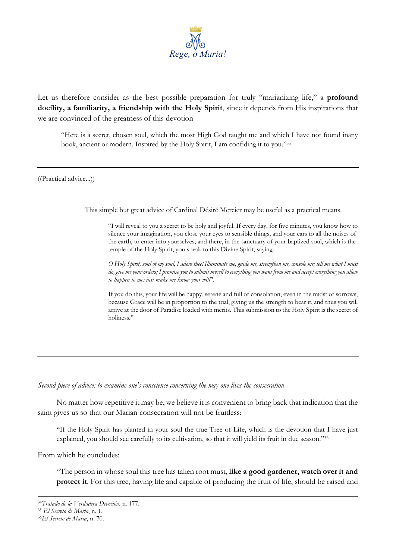

Let us therefore consider as the best possible preparation for truly "marianizing life," a **profound docility, a familiarity, a friendship with the Holy Spirit**, since it depends from His inspirations that we are convinced of the greatness of this devotion

"Here is a secret, chosen soul, which the most High God taught me and which I have not found inany book, ancient or modern. Inspired by the Holy Spirit, I am confiding it to you."<sup>35</sup>

((Practical advice...))

This simple but great advice of Cardinal Désiré Mercier may be useful as a practical means.

"I will reveal to you a secret to be holy and joyful. If every day, for five minutes, you know how to silence your imagination, you close your eyes to sensible things, and your ears to all the noises of the earth, to enter into yourselves, and there, in the sanctuary of your baptized soul, which is the temple of the Holy Spirit, you speak to this Divine Spirit, saying:

*O Holy Spirit, soul of my soul, I adore thee! Illuminate me, guide me, strengthen me, console me; tell me what I must do, give me your orders; I promise you to submit myself to everything you want from me and accept everything you allow to happen to me: just make me know your will".*

If you do this, your life will be happy, serene and full of consolation, even in the midst of sorrows, because Grace will be in proportion to the trial, giving us the strength to bear it, and thus you will arrive at the door of Paradise loaded with merits. This submission to the Holy Spirit is the secret of holiness."

#### *Second piece of advice: to examine one's conscience concerning the way one lives the consecration*

No matter how repetitive it may be, we believe it is convenient to bring back that indication that the saint gives us so that our Marian consecration will not be fruitless:

"If the Holy Spirit has planted in your soul the true Tree of Life, which is the devotion that I have just explained, you should see carefully to its cultivation, so that it will yield its fruit in due season."36

From which he concludes:

"The person in whose soul this tree has taken root must, **like a good gardener, watch over it and protect it**. For this tree, having life and capable of producing the fruit of life, should be raised and

<sup>34</sup>*Tratado de la Verdadera Devoción,* n. 177.

<sup>35</sup> *El Secreto de Maria*, n. 1.

<sup>36</sup>*El Secreto de Maria*, n. 70.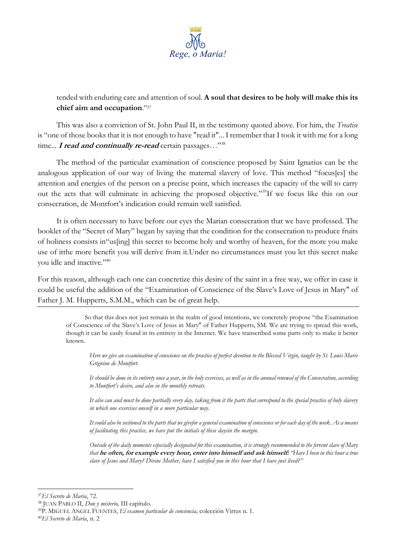

tended with enduring care and attention of soul. **A soul that desires to be holy will make this its chief aim and occupation**."<sup>37</sup>

This was also a conviction of St. John Paul II, in the testimony quoted above. For him, the *Treatise*  is "one of those books that it is not enough to have "read it"... I remember that I took it with me for a long time... *I read and continually re-read* certain passages..."<sup>38</sup>

The method of the particular examination of conscience proposed by Saint Ignatius can be the analogous application of our way of living the maternal slavery of love. This method "focus[es] the attention and energies of the person on a precise point, which increases the capacity of the will to carry out the acts that will culminate in achieving the proposed objective."<sup>39</sup>If we focus like this on our consecration, de Montfort's indication could remain well satisfied.

It is often necessary to have before our eyes the Marian consecration that we have professed. The booklet of the "Secret of Mary" began by saying that the condition for the consecration to produce fruits of holiness consists in"us[ing] this secret to become holy and worthy of heaven, for the more you make use of itthe more benefit you will derive from it.Under no circumstances must you let this secret make you idle and inactive."<sup>40</sup>

For this reason, although each one can concretize this desire of the saint in a free way, we offer in case it could be useful the addition of the "Examination of Conscience of the Slave's Love of Jesus in Mary" of Father J. M. Hupperts, S.M.M., which can be of great help.

So that this does not just remain in the realm of good intentions, we concretely propose "the Examination of Conscience of the Slave's Love of Jesus in Mary" of Father Hupperts, SM. We are trying to spread this work, though it can be easily found in its entirety in the Internet. We have transcribed some parts only to make it better known.

*Here we give an examination of conscience on the practice of perfect devotion to the Blessed Virgin, taught by St. Louis Marie Grignion de Montfort.* 

*It should be done in its entirety once a year, in the holy exercises, as well as in the annual renewal of the Consecration, according to Montfort's desire, and also in the monthly retreats.* 

*It also can and must be done partially every day, taking from it the parts that correspond to the special practice of holy slavery in which one exercises oneself in a more particular way.* 

*It could also be sectioned to the parts that we givefor a general examination of conscience or for each day of the week. As a means of facilitating this practice, we have put the initials of these daysin the margin.* 

*Outside of the daily moments especially designated for this examination, it is strongly recommended to the fervent slave of Mary that* **he often, for example every hour, enter into himself and ask himself:** *"Have I been in this hour a true slave of Jesus and Mary? Divine Mother, have I satisfied you in this hour that I have just lived?"*

<sup>37</sup>*El Secreto de Maria*, 72.

<sup>38</sup> JUAN PABLO II, *Don y misterio,* III capítulo.

<sup>39</sup>P. MIGUEL ANGEL FUENTES, *El examen particular de conciencia,* colección Virtus n. 1.

<sup>40</sup>*El Secreto de María*, n. 2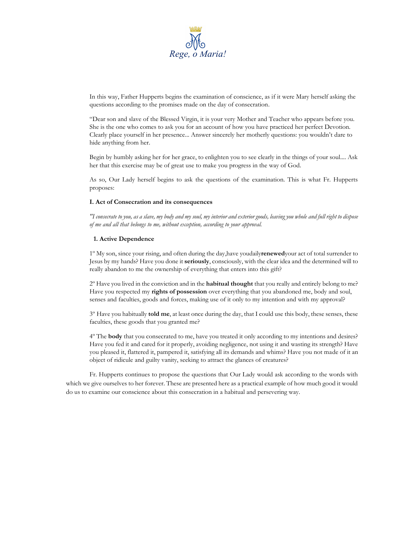

In this way, Father Hupperts begins the examination of conscience, as if it were Mary herself asking the questions according to the promises made on the day of consecration.

"Dear son and slave of the Blessed Virgin, it is your very Mother and Teacher who appears before you. She is the one who comes to ask you for an account of how you have practiced her perfect Devotion. Clearly place yourself in her presence... Answer sincerely her motherly questions: you wouldn't dare to hide anything from her.

Begin by humbly asking her for her grace, to enlighten you to see clearly in the things of your soul.... Ask her that this exercise may be of great use to make you progress in the way of God.

As so, Our Lady herself begins to ask the questions of the examination. This is what Fr. Hupperts proposes:

#### **I. Act of Consecration and its consequences**

*"I consecrate to you, as a slave, my body and my soul, my interior and exterior goods, leaving you whole and full right to dispose of me and all that belongs to me, without exception, according to your approval.*

#### **1. Active Dependence**

1º My son, since your rising, and often during the day,have youdaily**renewed**your act of total surrender to Jesus by my hands? Have you done it **seriously**, consciously, with the clear idea and the determined will to really abandon to me the ownership of everything that enters into this gift?

2º Have you lived in the conviction and in the **habitual thought** that you really and entirely belong to me? Have you respected my **rights of possession** over everything that you abandoned me, body and soul, senses and faculties, goods and forces, making use of it only to my intention and with my approval?

3º Have you habitually **told me**, at least once during the day, that I could use this body, these senses, these faculties, these goods that you granted me?

4º The **body** that you consecrated to me, have you treated it only according to my intentions and desires? Have you fed it and cared for it properly, avoiding negligence, not using it and wasting its strength? Have you pleased it, flattered it, pampered it, satisfying all its demands and whims? Have you not made of it an object of ridicule and guilty vanity, seeking to attract the glances of creatures?

Fr. Hupperts continues to propose the questions that Our Lady would ask according to the words with which we give ourselves to her forever. These are presented here as a practical example of how much good it would do us to examine our conscience about this consecration in a habitual and persevering way.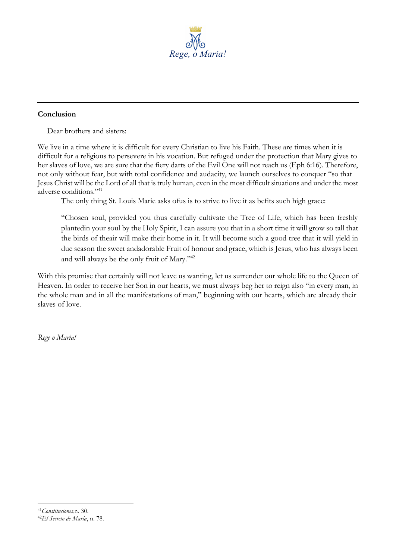

### **Conclusion**

Dear brothers and sisters:

We live in a time where it is difficult for every Christian to live his Faith. These are times when it is difficult for a religious to persevere in his vocation. But refuged under the protection that Mary gives to her slaves of love, we are sure that the fiery darts of the Evil One will not reach us (Eph 6:16). Therefore, not only without fear, but with total confidence and audacity, we launch ourselves to conquer "so that Jesus Christ will be the Lord of all that is truly human, even in the most difficult situations and under the most adverse conditions." 41

The only thing St. Louis Marie asks ofus is to strive to live it as befits such high grace:

"Chosen soul, provided you thus carefully cultivate the Tree of Life, which has been freshly plantedin your soul by the Holy Spirit, I can assure you that in a short time it will grow so tall that the birds of theair will make their home in it. It will become such a good tree that it will yield in due season the sweet andadorable Fruit of honour and grace, which is Jesus, who has always been and will always be the only fruit of Mary."<sup>42</sup>

With this promise that certainly will not leave us wanting, let us surrender our whole life to the Queen of Heaven. In order to receive her Son in our hearts, we must always beg her to reign also "in every man, in the whole man and in all the manifestations of man," beginning with our hearts, which are already their slaves of love.

*Rege o Maria!*

<sup>41</sup>*Constituciones*,n. 30. 42*El Secreto de María*, n. 78.